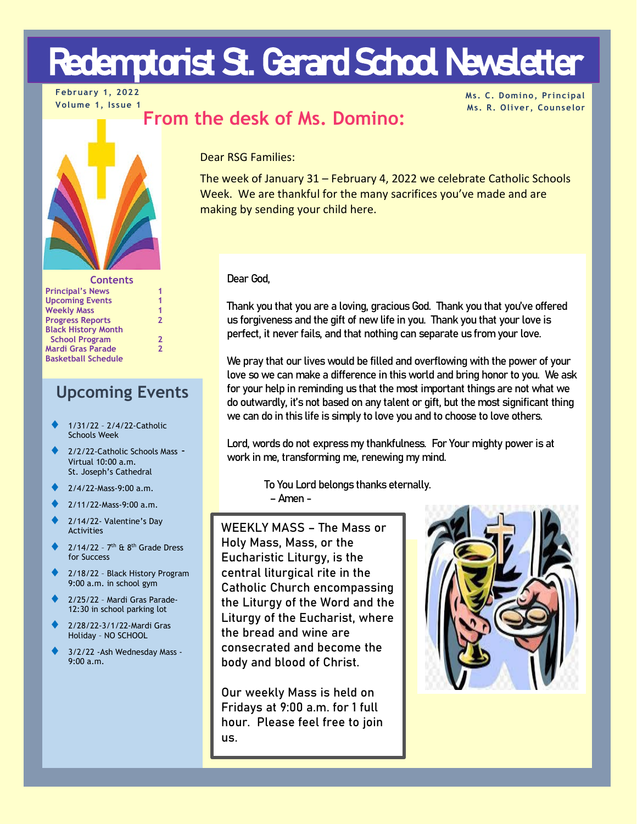# Redemptorist St. Gerard School Newsletter

**February 1, 2022 Volume 1, Issue 1**

**Ms. C. Domino, Principal Ms. R. Oliver, Counselor**



| <b>Contents</b>            |                |
|----------------------------|----------------|
| <b>Principal's News</b>    | 1              |
| <b>Upcoming Events</b>     | 1              |
| <b>Weekly Mass</b>         | 1              |
| <b>Progress Reports</b>    | $\overline{2}$ |
| <b>Black History Month</b> |                |
| <b>School Program</b>      | $\mathbf{2}$   |
| <b>Mardi Gras Parade</b>   | $\overline{2}$ |
| <b>Basketball Schedule</b> |                |

## **Upcoming Events**

- ♦ 1/31/22 2/4/22-Catholic Schools Week
- 2/2/22-Catholic Schools Mass -Virtual 10:00 a.m. St. Joseph's Cathedral
- ♦ 2/4/22-Mass-9:00 a.m.
- ♦ 2/11/22-Mass-9:00 a.m.
- 2/14/22- Valentine's Day Activities
- $2/14/22$   $7<sup>th</sup>$  &  $8<sup>th</sup>$  Grade Dress for Success
- 2/18/22 Black History Program 9:00 a.m. in school gym
- 2/25/22 Mardi Gras Parade-12:30 in school parking lot
- ♦ 2/28/22-3/1/22-Mardi Gras Holiday – NO SCHOOL
- 3/2/22 -Ash Wednesday Mass -9:00 a.m.

Dear RSG Families:

The week of January 31 – February 4, 2022 we celebrate Catholic Schools Week. We are thankful for the many sacrifices you've made and are making by sending your child here.

### Dear God,

Thank you that you are a loving, gracious God. Thank you that you've offered us forgiveness and the gift of new life in you. Thank you that your love is perfect, it never fails, and that nothing can separate us from your love.

We pray that our lives would be filled and overflowing with the power of your love so we can make a difference in this world and bring honor to you. We ask for your help in reminding us that the most important things are not what we do outwardly, it's not based on any talent or gift, but the most significant thing we can do in this life is simply to love you and to choose to love others.

Lord, words do not express my thankfulness. For Your mighty power is at work in me, transforming me, renewing my mind.

> To You Lord belongs thanks eternally. –Amen -

WEEKLY MASS – The Mass or Holy Mass, Mass, or the Eucharistic Liturgy, is the central liturgical rite in the Catholic Church encompassing the Liturgy of the Word and the Liturgy of the Eucharist, where the bread and wine are consecrated and become the body and blood of Christ.

Our weekly Mass is held on Fridays at 9:00 a.m. for 1 full hour. Please feel free to join us.

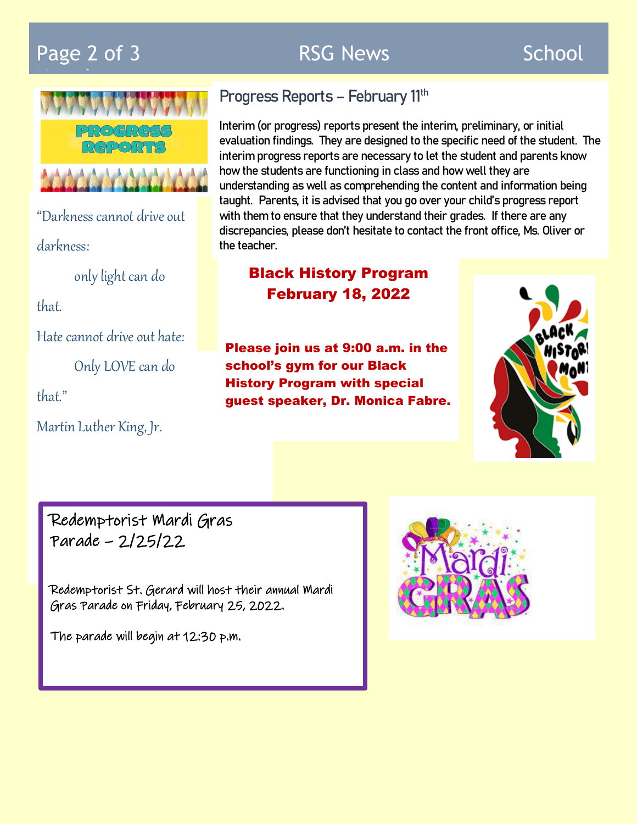## Page 2 of 3 **RSG News School**



"Darkness cannot drive out darkness:

only light can do

that.

Hate cannot drive out hate:

Only LOVE can do

that."

l<br>I

Martin Luther King, Jr.

## Progress Reports - February 11<sup>th</sup>

Interim (or progress) reports present the interim, preliminary, or initial evaluation findings. They are designed to the specific need of the student. The interim progress reports are necessary to let the student and parents know how the students are functioning in class and how well they are understanding as well as comprehending the content and information being taught. Parents, it is advised that you go over your child's progress report with them to ensure that they understand their grades. If there are any discrepancies, please don't hesitate to contact the front office, Ms. Oliver or the teacher.

## Black History Program February 18, 2022

Please join us at 9:00 a.m. in the school's gym for our Black History Program with special guest speaker, Dr. Monica Fabre.



Redemptorist Mardi Gras Parade – 2/25/22

Redemptorist St. Gerard will host their annual Mardi Gras Parade on Friday, February 25, 2022.

The parade will begin at 12:30 p.m.